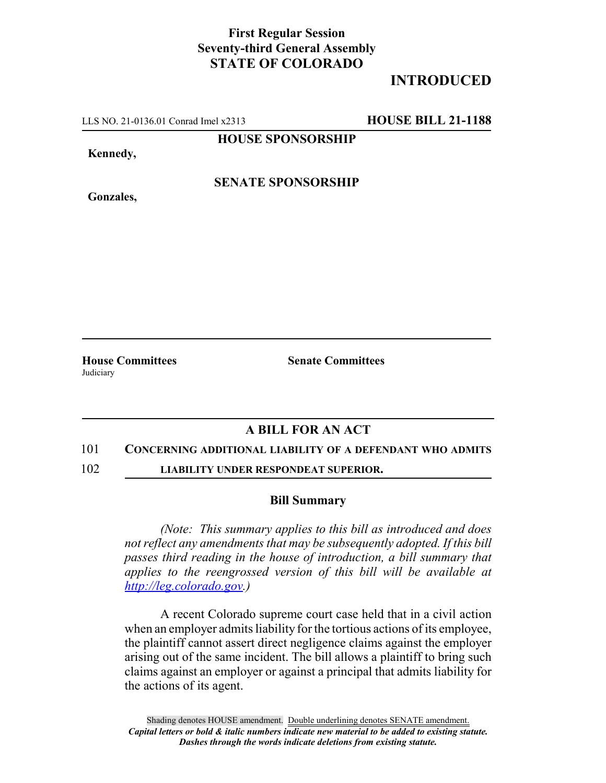## **First Regular Session Seventy-third General Assembly STATE OF COLORADO**

# **INTRODUCED**

LLS NO. 21-0136.01 Conrad Imel x2313 **HOUSE BILL 21-1188**

**HOUSE SPONSORSHIP**

**Kennedy,**

**Gonzales,**

**SENATE SPONSORSHIP**

**Judiciary** 

**House Committees Senate Committees**

## **A BILL FOR AN ACT**

### 101 **CONCERNING ADDITIONAL LIABILITY OF A DEFENDANT WHO ADMITS**

102 **LIABILITY UNDER RESPONDEAT SUPERIOR.**

#### **Bill Summary**

*(Note: This summary applies to this bill as introduced and does not reflect any amendments that may be subsequently adopted. If this bill passes third reading in the house of introduction, a bill summary that applies to the reengrossed version of this bill will be available at http://leg.colorado.gov.)*

A recent Colorado supreme court case held that in a civil action when an employer admits liability for the tortious actions of its employee, the plaintiff cannot assert direct negligence claims against the employer arising out of the same incident. The bill allows a plaintiff to bring such claims against an employer or against a principal that admits liability for the actions of its agent.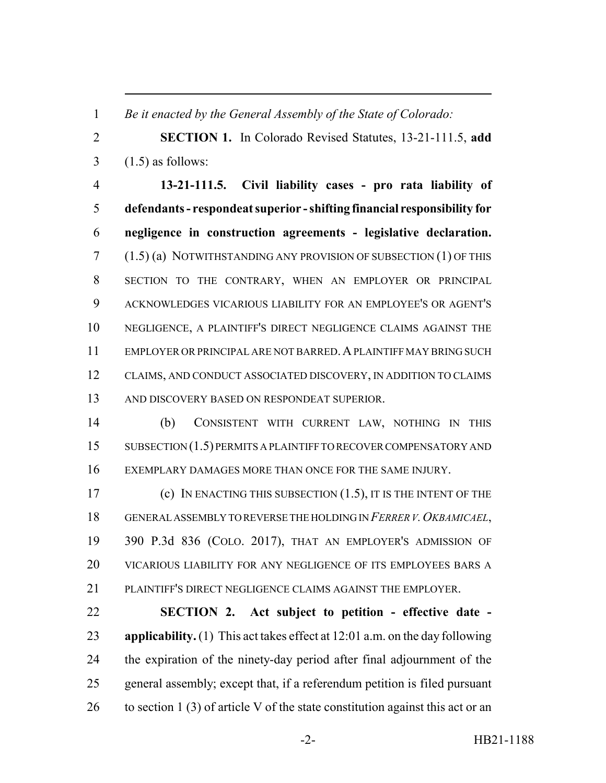*Be it enacted by the General Assembly of the State of Colorado:*

 **SECTION 1.** In Colorado Revised Statutes, 13-21-111.5, **add**  $3 \quad (1.5)$  as follows:

 **13-21-111.5. Civil liability cases - pro rata liability of defendants - respondeat superior - shifting financial responsibility for negligence in construction agreements - legislative declaration.** (1.5) (a) NOTWITHSTANDING ANY PROVISION OF SUBSECTION (1) OF THIS SECTION TO THE CONTRARY, WHEN AN EMPLOYER OR PRINCIPAL ACKNOWLEDGES VICARIOUS LIABILITY FOR AN EMPLOYEE'S OR AGENT'S NEGLIGENCE, A PLAINTIFF'S DIRECT NEGLIGENCE CLAIMS AGAINST THE EMPLOYER OR PRINCIPAL ARE NOT BARRED.A PLAINTIFF MAY BRING SUCH CLAIMS, AND CONDUCT ASSOCIATED DISCOVERY, IN ADDITION TO CLAIMS AND DISCOVERY BASED ON RESPONDEAT SUPERIOR.

 (b) CONSISTENT WITH CURRENT LAW, NOTHING IN THIS 15 SUBSECTION (1.5) PERMITS A PLAINTIFF TO RECOVER COMPENSATORY AND EXEMPLARY DAMAGES MORE THAN ONCE FOR THE SAME INJURY.

 (c) IN ENACTING THIS SUBSECTION (1.5), IT IS THE INTENT OF THE 18 GENERAL ASSEMBLY TO REVERSE THE HOLDING IN *FERRER V. OKBAMICAEL*, 390 P.3d 836 (COLO. 2017), THAT AN EMPLOYER'S ADMISSION OF VICARIOUS LIABILITY FOR ANY NEGLIGENCE OF ITS EMPLOYEES BARS A PLAINTIFF'S DIRECT NEGLIGENCE CLAIMS AGAINST THE EMPLOYER.

 **SECTION 2. Act subject to petition - effective date - applicability.** (1) This act takes effect at 12:01 a.m. on the day following the expiration of the ninety-day period after final adjournment of the general assembly; except that, if a referendum petition is filed pursuant 26 to section 1 (3) of article V of the state constitution against this act or an